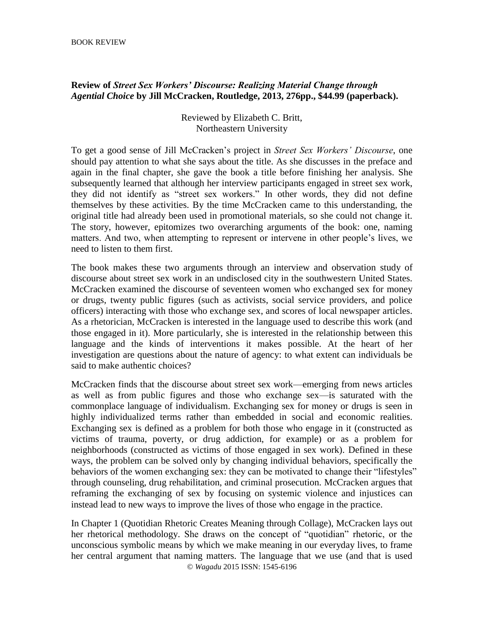## **Review of** *Street Sex Workers' Discourse: Realizing Material Change through Agential Choice* **by Jill McCracken, Routledge, 2013, 276pp., \$44.99 (paperback).**

## Reviewed by Elizabeth C. Britt, Northeastern University

To get a good sense of Jill McCracken's project in *Street Sex Workers' Discourse*, one should pay attention to what she says about the title. As she discusses in the preface and again in the final chapter, she gave the book a title before finishing her analysis. She subsequently learned that although her interview participants engaged in street sex work, they did not identify as "street sex workers." In other words, they did not define themselves by these activities. By the time McCracken came to this understanding, the original title had already been used in promotional materials, so she could not change it. The story, however, epitomizes two overarching arguments of the book: one, naming matters. And two, when attempting to represent or intervene in other people's lives, we need to listen to them first.

The book makes these two arguments through an interview and observation study of discourse about street sex work in an undisclosed city in the southwestern United States. McCracken examined the discourse of seventeen women who exchanged sex for money or drugs, twenty public figures (such as activists, social service providers, and police officers) interacting with those who exchange sex, and scores of local newspaper articles. As a rhetorician, McCracken is interested in the language used to describe this work (and those engaged in it). More particularly, she is interested in the relationship between this language and the kinds of interventions it makes possible. At the heart of her investigation are questions about the nature of agency: to what extent can individuals be said to make authentic choices?

McCracken finds that the discourse about street sex work—emerging from news articles as well as from public figures and those who exchange sex—is saturated with the commonplace language of individualism. Exchanging sex for money or drugs is seen in highly individualized terms rather than embedded in social and economic realities. Exchanging sex is defined as a problem for both those who engage in it (constructed as victims of trauma, poverty, or drug addiction, for example) or as a problem for neighborhoods (constructed as victims of those engaged in sex work). Defined in these ways, the problem can be solved only by changing individual behaviors, specifically the behaviors of the women exchanging sex: they can be motivated to change their "lifestyles" through counseling, drug rehabilitation, and criminal prosecution. McCracken argues that reframing the exchanging of sex by focusing on systemic violence and injustices can instead lead to new ways to improve the lives of those who engage in the practice.

© *Wagadu* 2015 ISSN: 1545-6196 In Chapter 1 (Quotidian Rhetoric Creates Meaning through Collage), McCracken lays out her rhetorical methodology. She draws on the concept of "quotidian" rhetoric, or the unconscious symbolic means by which we make meaning in our everyday lives, to frame her central argument that naming matters. The language that we use (and that is used